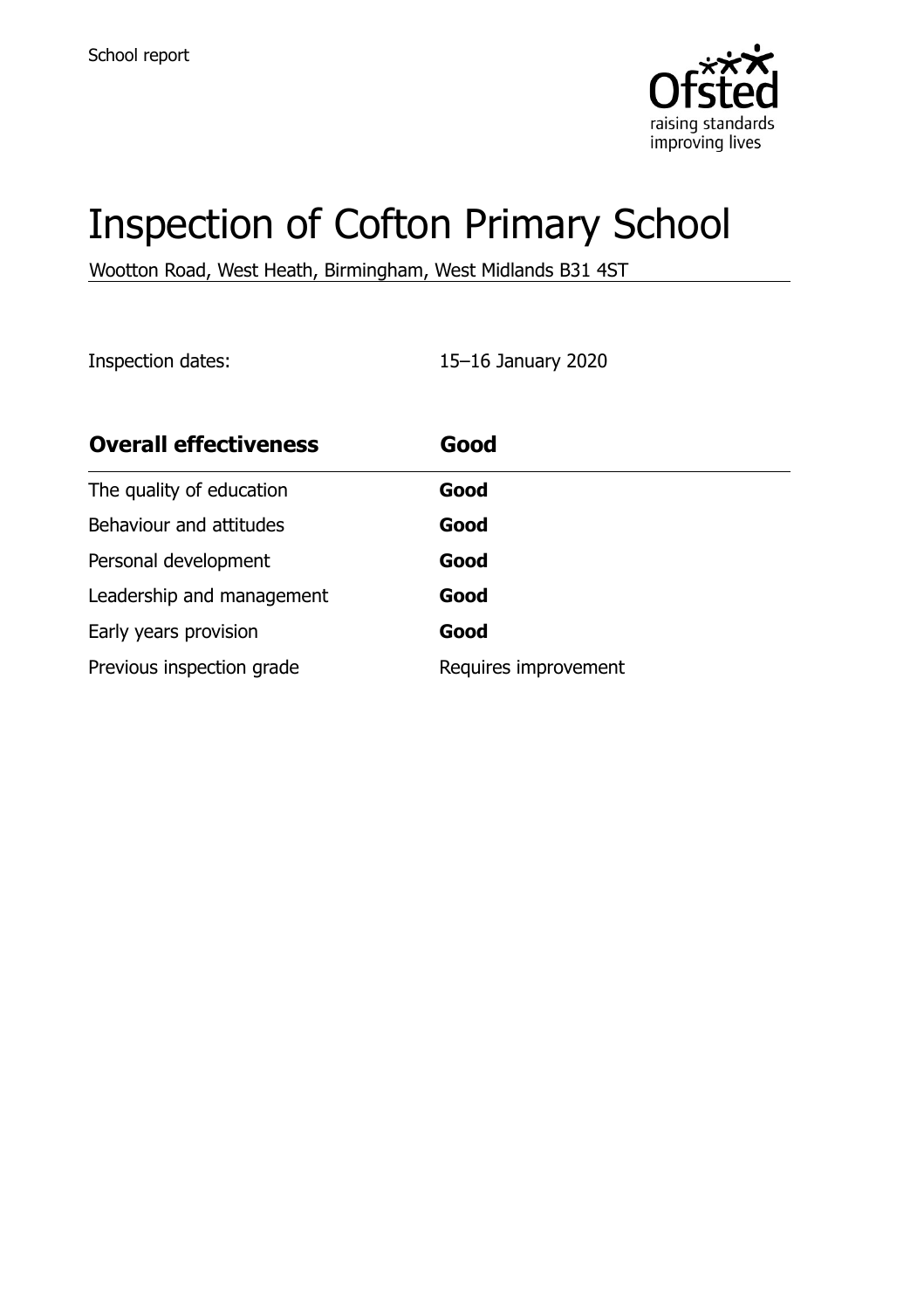

# Inspection of Cofton Primary School

Wootton Road, West Heath, Birmingham, West Midlands B31 4ST

Inspection dates: 15–16 January 2020

| <b>Overall effectiveness</b> | Good                 |
|------------------------------|----------------------|
| The quality of education     | Good                 |
| Behaviour and attitudes      | Good                 |
| Personal development         | Good                 |
| Leadership and management    | Good                 |
| Early years provision        | Good                 |
| Previous inspection grade    | Requires improvement |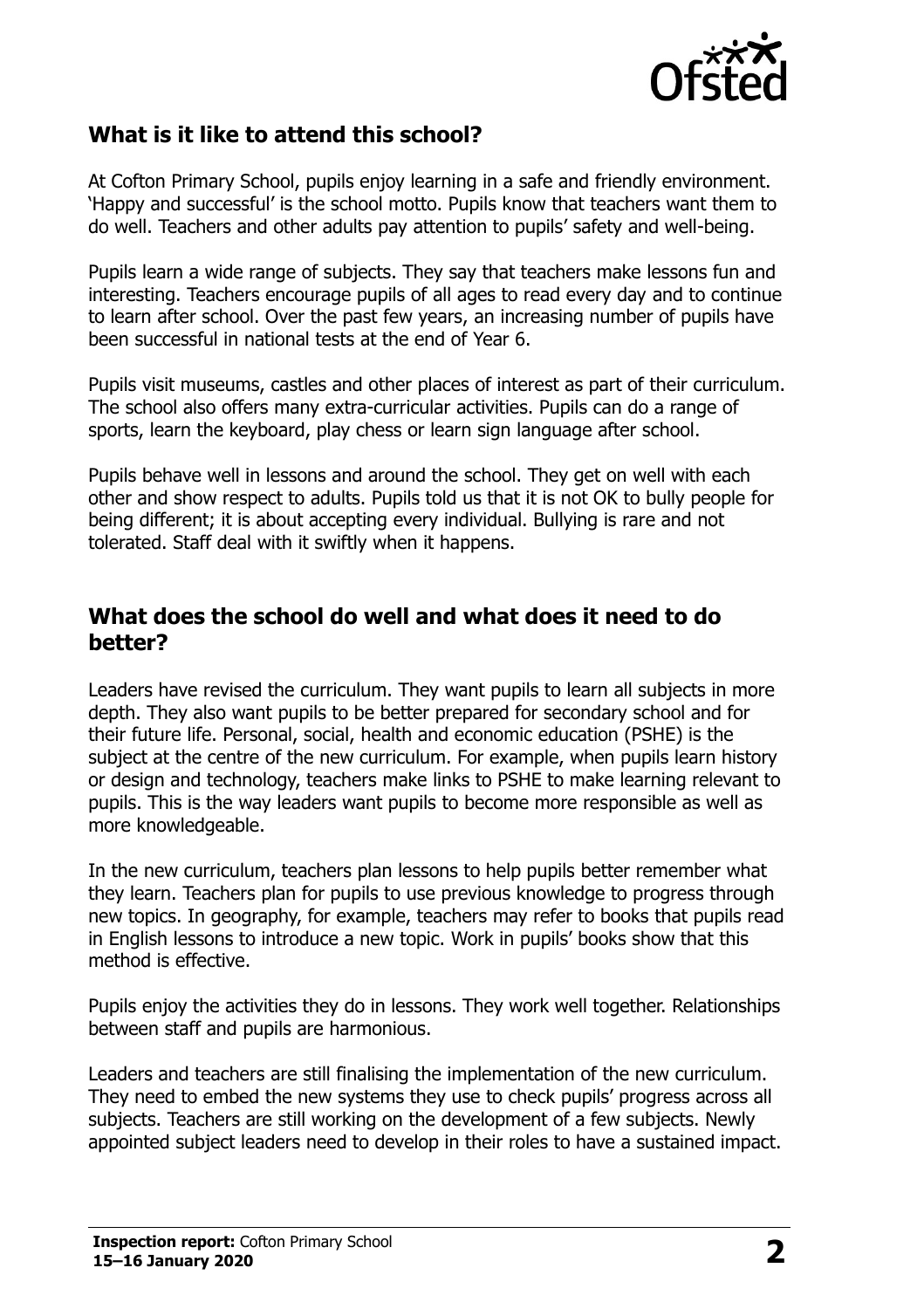

### **What is it like to attend this school?**

At Cofton Primary School, pupils enjoy learning in a safe and friendly environment. 'Happy and successful' is the school motto. Pupils know that teachers want them to do well. Teachers and other adults pay attention to pupils' safety and well-being.

Pupils learn a wide range of subjects. They say that teachers make lessons fun and interesting. Teachers encourage pupils of all ages to read every day and to continue to learn after school. Over the past few years, an increasing number of pupils have been successful in national tests at the end of Year 6.

Pupils visit museums, castles and other places of interest as part of their curriculum. The school also offers many extra-curricular activities. Pupils can do a range of sports, learn the keyboard, play chess or learn sign language after school.

Pupils behave well in lessons and around the school. They get on well with each other and show respect to adults. Pupils told us that it is not OK to bully people for being different; it is about accepting every individual. Bullying is rare and not tolerated. Staff deal with it swiftly when it happens.

#### **What does the school do well and what does it need to do better?**

Leaders have revised the curriculum. They want pupils to learn all subjects in more depth. They also want pupils to be better prepared for secondary school and for their future life. Personal, social, health and economic education (PSHE) is the subject at the centre of the new curriculum. For example, when pupils learn history or design and technology, teachers make links to PSHE to make learning relevant to pupils. This is the way leaders want pupils to become more responsible as well as more knowledgeable.

In the new curriculum, teachers plan lessons to help pupils better remember what they learn. Teachers plan for pupils to use previous knowledge to progress through new topics. In geography, for example, teachers may refer to books that pupils read in English lessons to introduce a new topic. Work in pupils' books show that this method is effective.

Pupils enjoy the activities they do in lessons. They work well together. Relationships between staff and pupils are harmonious.

Leaders and teachers are still finalising the implementation of the new curriculum. They need to embed the new systems they use to check pupils' progress across all subjects. Teachers are still working on the development of a few subjects. Newly appointed subject leaders need to develop in their roles to have a sustained impact.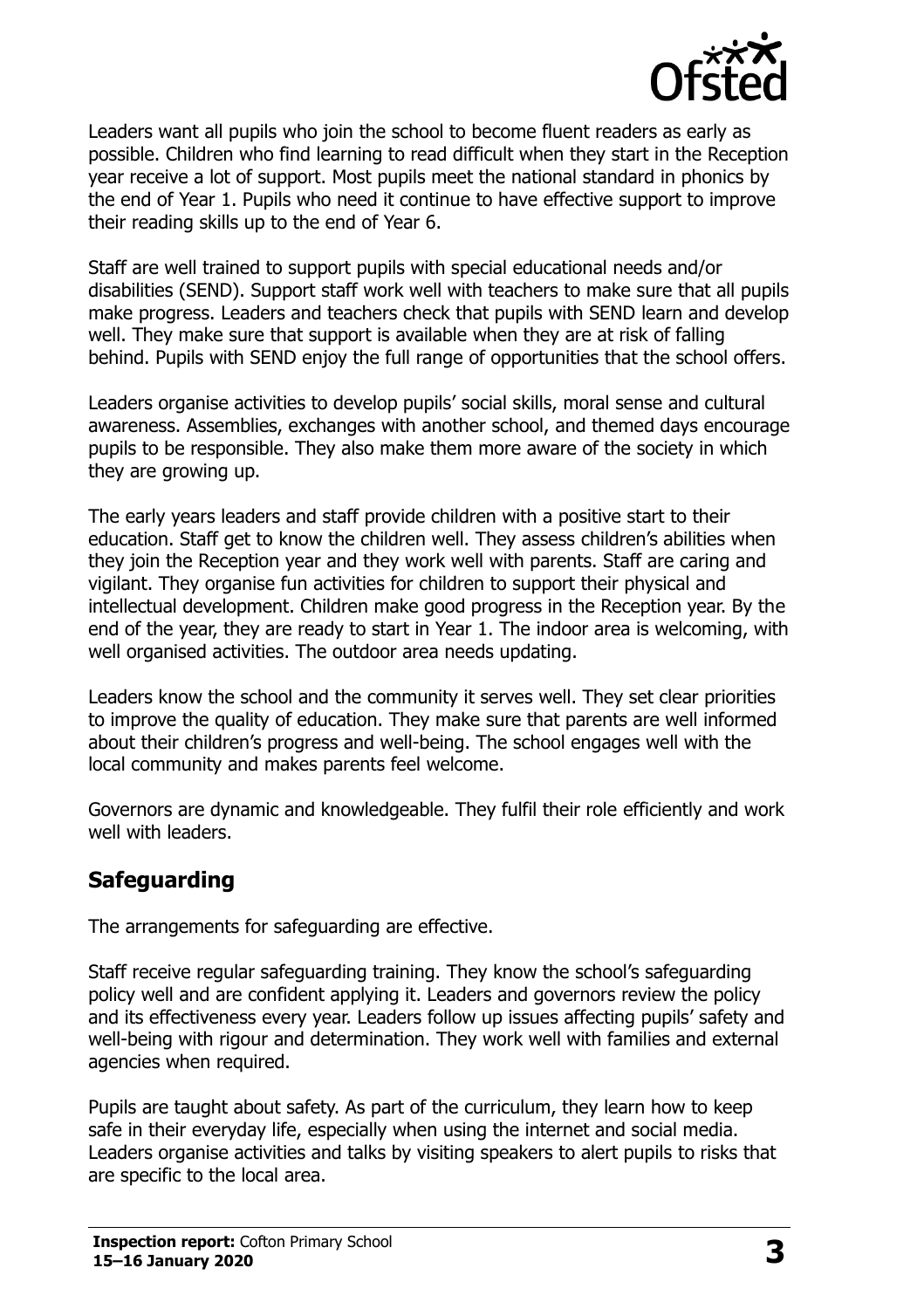

Leaders want all pupils who join the school to become fluent readers as early as possible. Children who find learning to read difficult when they start in the Reception year receive a lot of support. Most pupils meet the national standard in phonics by the end of Year 1. Pupils who need it continue to have effective support to improve their reading skills up to the end of Year 6.

Staff are well trained to support pupils with special educational needs and/or disabilities (SEND). Support staff work well with teachers to make sure that all pupils make progress. Leaders and teachers check that pupils with SEND learn and develop well. They make sure that support is available when they are at risk of falling behind. Pupils with SEND enjoy the full range of opportunities that the school offers.

Leaders organise activities to develop pupils' social skills, moral sense and cultural awareness. Assemblies, exchanges with another school, and themed days encourage pupils to be responsible. They also make them more aware of the society in which they are growing up.

The early years leaders and staff provide children with a positive start to their education. Staff get to know the children well. They assess children's abilities when they join the Reception year and they work well with parents. Staff are caring and vigilant. They organise fun activities for children to support their physical and intellectual development. Children make good progress in the Reception year. By the end of the year, they are ready to start in Year 1. The indoor area is welcoming, with well organised activities. The outdoor area needs updating.

Leaders know the school and the community it serves well. They set clear priorities to improve the quality of education. They make sure that parents are well informed about their children's progress and well-being. The school engages well with the local community and makes parents feel welcome.

Governors are dynamic and knowledgeable. They fulfil their role efficiently and work well with leaders.

# **Safeguarding**

The arrangements for safeguarding are effective.

Staff receive regular safeguarding training. They know the school's safeguarding policy well and are confident applying it. Leaders and governors review the policy and its effectiveness every year. Leaders follow up issues affecting pupils' safety and well-being with rigour and determination. They work well with families and external agencies when required.

Pupils are taught about safety. As part of the curriculum, they learn how to keep safe in their everyday life, especially when using the internet and social media. Leaders organise activities and talks by visiting speakers to alert pupils to risks that are specific to the local area.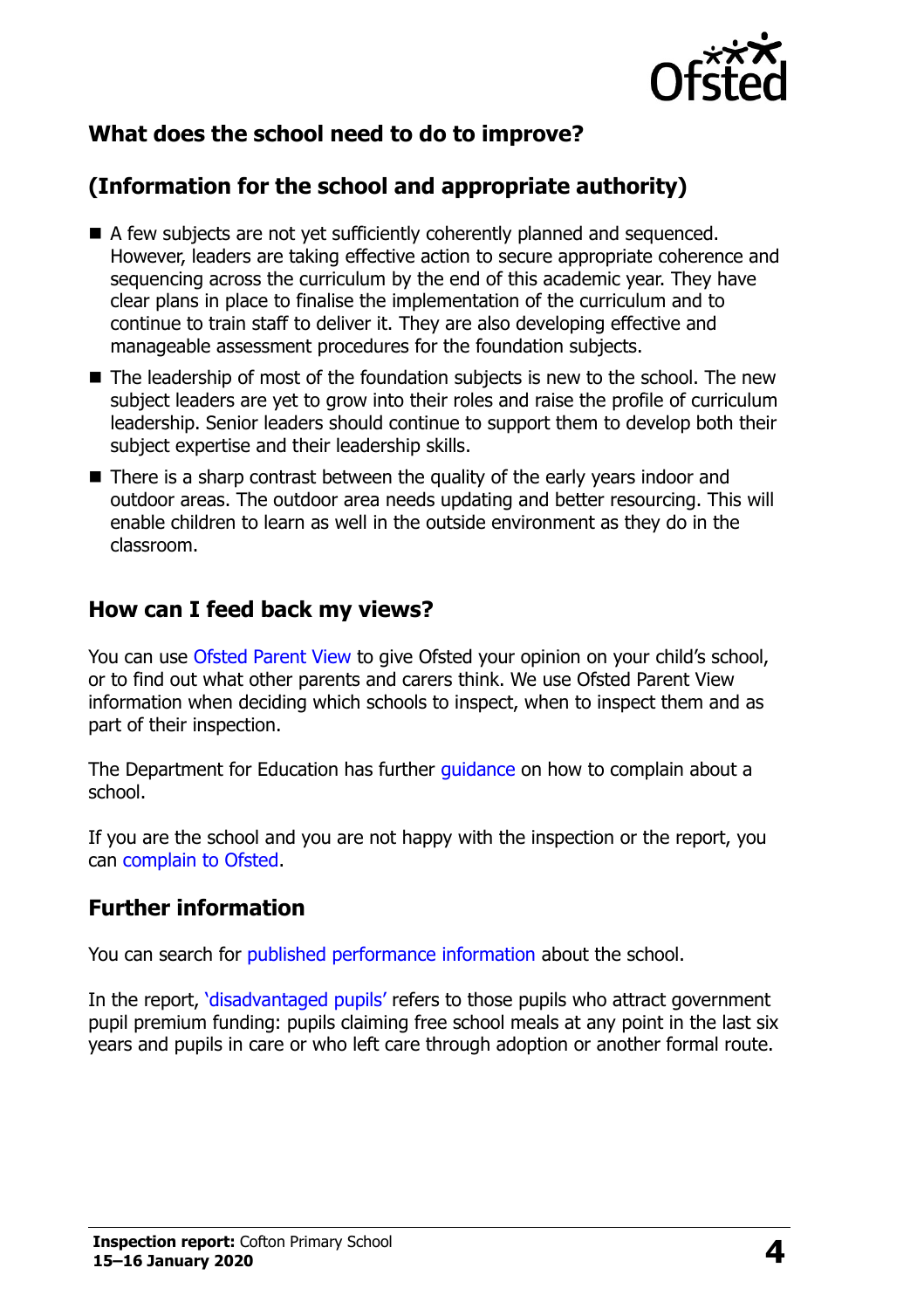

# **What does the school need to do to improve?**

# **(Information for the school and appropriate authority)**

- A few subjects are not yet sufficiently coherently planned and sequenced. However, leaders are taking effective action to secure appropriate coherence and sequencing across the curriculum by the end of this academic year. They have clear plans in place to finalise the implementation of the curriculum and to continue to train staff to deliver it. They are also developing effective and manageable assessment procedures for the foundation subjects.
- The leadership of most of the foundation subjects is new to the school. The new subject leaders are yet to grow into their roles and raise the profile of curriculum leadership. Senior leaders should continue to support them to develop both their subject expertise and their leadership skills.
- There is a sharp contrast between the quality of the early years indoor and outdoor areas. The outdoor area needs updating and better resourcing. This will enable children to learn as well in the outside environment as they do in the classroom.

#### **How can I feed back my views?**

You can use [Ofsted Parent View](http://parentview.ofsted.gov.uk/) to give Ofsted your opinion on your child's school, or to find out what other parents and carers think. We use Ofsted Parent View information when deciding which schools to inspect, when to inspect them and as part of their inspection.

The Department for Education has further quidance on how to complain about a school.

If you are the school and you are not happy with the inspection or the report, you can [complain to Ofsted.](http://www.gov.uk/complain-ofsted-report)

#### **Further information**

You can search for [published performance information](http://www.compare-school-performance.service.gov.uk/) about the school.

In the report, '[disadvantaged pupils](http://www.gov.uk/guidance/pupil-premium-information-for-schools-and-alternative-provision-settings)' refers to those pupils who attract government pupil premium funding: pupils claiming free school meals at any point in the last six years and pupils in care or who left care through adoption or another formal route.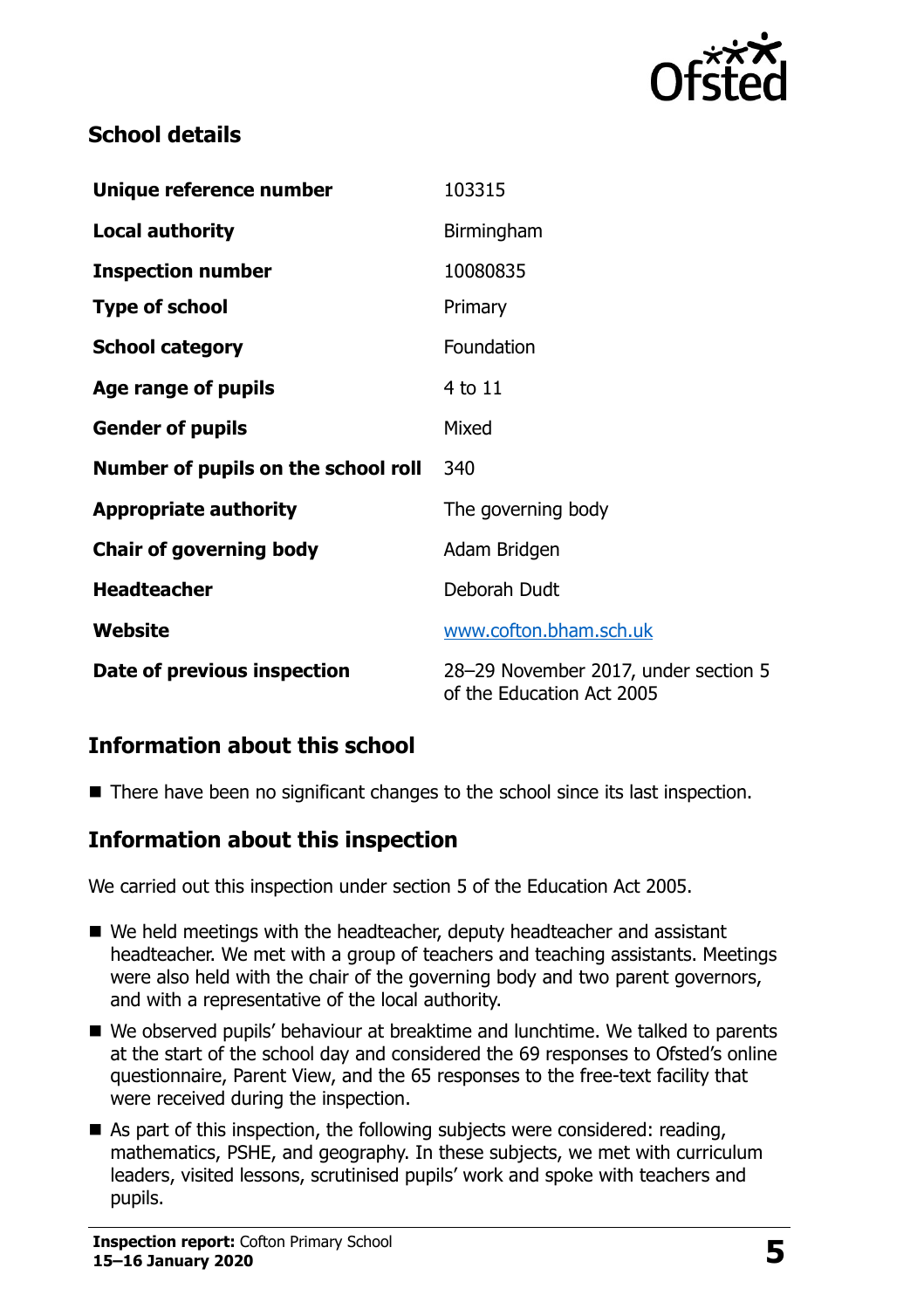

# **School details**

| Unique reference number             | 103315                                                            |
|-------------------------------------|-------------------------------------------------------------------|
| <b>Local authority</b>              | Birmingham                                                        |
| <b>Inspection number</b>            | 10080835                                                          |
| <b>Type of school</b>               | Primary                                                           |
| <b>School category</b>              | Foundation                                                        |
| Age range of pupils                 | 4 to 11                                                           |
| <b>Gender of pupils</b>             | Mixed                                                             |
| Number of pupils on the school roll | 340                                                               |
| <b>Appropriate authority</b>        | The governing body                                                |
| <b>Chair of governing body</b>      | Adam Bridgen                                                      |
| <b>Headteacher</b>                  | Deborah Dudt                                                      |
| Website                             | www.cofton.bham.sch.uk                                            |
| Date of previous inspection         | 28-29 November 2017, under section 5<br>of the Education Act 2005 |

# **Information about this school**

■ There have been no significant changes to the school since its last inspection.

#### **Information about this inspection**

We carried out this inspection under section 5 of the Education Act 2005.

- We held meetings with the headteacher, deputy headteacher and assistant headteacher. We met with a group of teachers and teaching assistants. Meetings were also held with the chair of the governing body and two parent governors, and with a representative of the local authority.
- We observed pupils' behaviour at breaktime and lunchtime. We talked to parents at the start of the school day and considered the 69 responses to Ofsted's online questionnaire, Parent View, and the 65 responses to the free-text facility that were received during the inspection.
- As part of this inspection, the following subjects were considered: reading, mathematics, PSHE, and geography. In these subjects, we met with curriculum leaders, visited lessons, scrutinised pupils' work and spoke with teachers and pupils.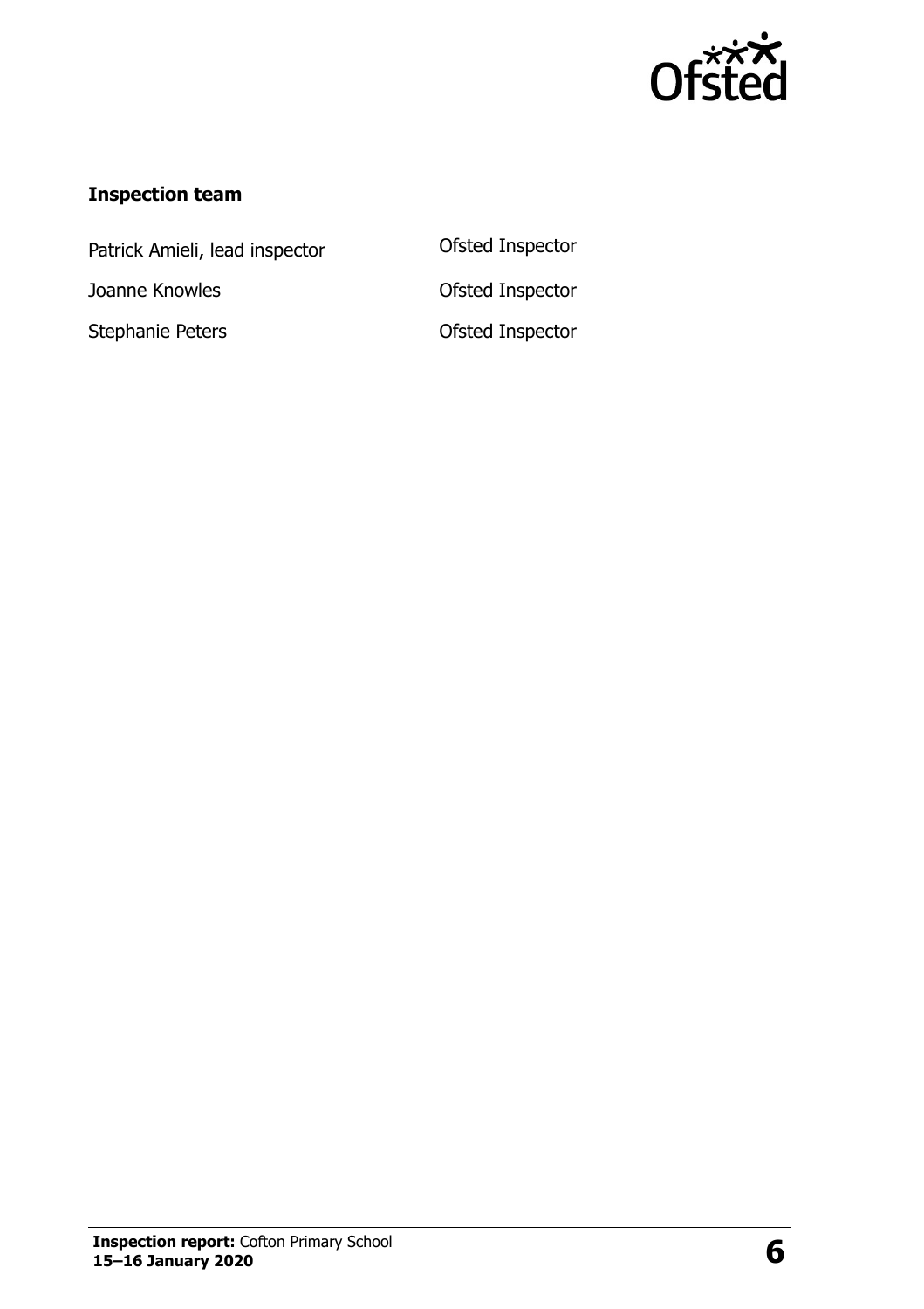

#### **Inspection team**

Patrick Amieli, lead inspector **Ofsted Inspector** Joanne Knowles **Calculates** Ofsted Inspector

Stephanie Peters **CES CONFERGENT CONSTRESS**